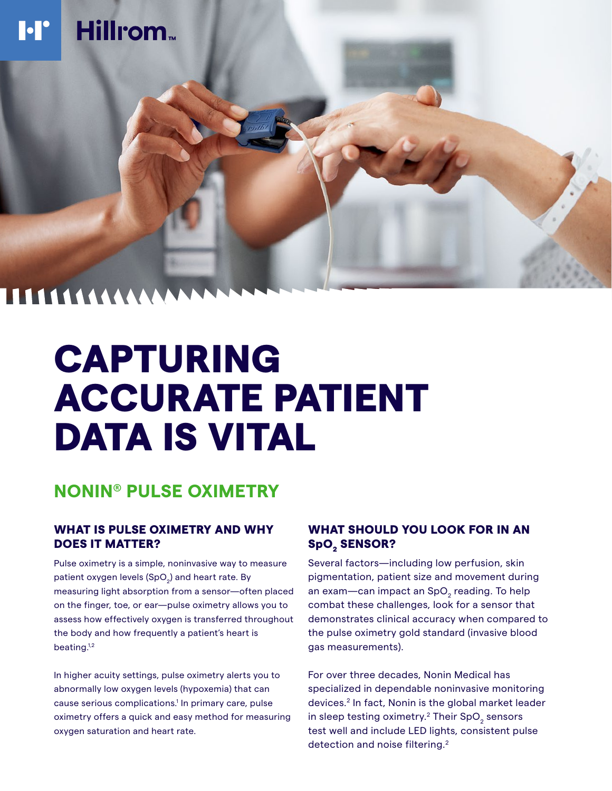

# CAPTURING ACCURATE PATIENT DATA IS VITAL

## **NONIN® PULSE OXIMETRY**

### WHAT IS PULSE OXIMETRY AND WHY DOES IT MATTER?

Pulse oximetry is a simple, noninvasive way to measure patient oxygen levels (SpO<sub>2</sub>) and heart rate. By measuring light absorption from a sensor—often placed on the finger, toe, or ear—pulse oximetry allows you to assess how effectively oxygen is transferred throughout the body and how frequently a patient's heart is beating.<sup>1,2</sup>

In higher acuity settings, pulse oximetry alerts you to abnormally low oxygen levels (hypoxemia) that can cause serious complications.<sup>1</sup> In primary care, pulse oximetry offers a quick and easy method for measuring oxygen saturation and heart rate.

### WHAT SHOULD YOU LOOK FOR IN AN SpO<sub>2</sub> SENSOR?

Several factors—including low perfusion, skin pigmentation, patient size and movement during an exam—can impact an SpO<sub>2</sub> reading. To help combat these challenges, look for a sensor that demonstrates clinical accuracy when compared to the pulse oximetry gold standard (invasive blood gas measurements).

For over three decades, Nonin Medical has specialized in dependable noninvasive monitoring devices.2 In fact, Nonin is the global market leader in sleep testing oximetry.<sup>2</sup> Their SpO<sub>2</sub> sensors test well and include LED lights, consistent pulse detection and noise filtering.<sup>2</sup>